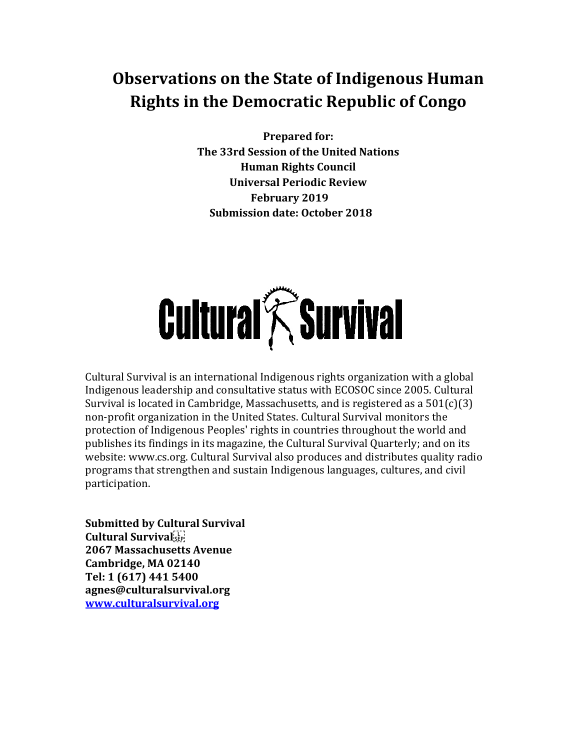# **Observations on the State of Indigenous Human Rights in the Democratic Republic of Congo**

**Prepared for: The 33rd Session of the United Nations Human Rights Council Universal Periodic Review February 2019 Submission date: October 2018**



Cultural Survival is an international Indigenous rights organization with a global Indigenous leadership and consultative status with ECOSOC since 2005. Cultural Survival is located in Cambridge, Massachusetts, and is registered as a 501(c)(3) non-profit organization in the United States. Cultural Survival monitors the protection of Indigenous Peoples' rights in countries throughout the world and publishes its findings in its magazine, the Cultural Survival Quarterly; and on its website: www.cs.org. Cultural Survival also produces and distributes quality radio programs that strengthen and sustain Indigenous languages, cultures, and civil participation.

**Submitted by Cultural Survival Cultural Survival 2067 Massachusetts Avenue Cambridge, MA 02140 Tel: 1 (617) 441 5400 agnes@culturalsurvival.org [www.culturalsurvival.org](http://www.culturalsurvival.org/)**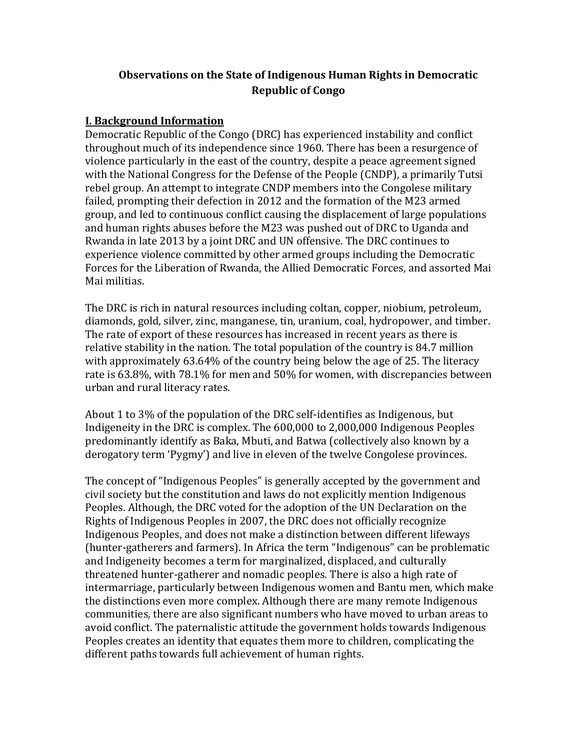## **Observations on the State of Indigenous Human Rights in Democratic Republic of Congo**

#### **I. Background Information**

Democratic Republic of the Congo (DRC) has experienced instability and conflict throughout much of its independence since 1960. There has been a resurgence of violence particularly in the east of the country, despite a peace agreement signed with the National Congress for the Defense of the People (CNDP), a primarily Tutsi rebel group. An attempt to integrate CNDP members into the Congolese military failed, prompting their defection in 2012 and the formation of the M23 armed group, and led to continuous conflict causing the displacement of large populations and human rights abuses before the M23 was pushed out of DRC to Uganda and Rwanda in late 2013 by a joint DRC and UN offensive. The DRC continues to experience violence committed by other armed groups including the Democratic Forces for the Liberation of Rwanda, the Allied Democratic Forces, and assorted Mai Mai militias.

The DRC is rich in natural resources including coltan, copper, niobium, petroleum, diamonds, gold, silver, zinc, manganese, tin, uranium, coal, hydropower, and timber. The rate of export of these resources has increased in recent years as there is relative stability in the nation. The total population of the country is 84.7 million with approximately 63.64% of the country being below the age of 25. The literacy rate is 63.8%, with 78.1% for men and 50% for women, with discrepancies between urban and rural literacy rates.

About 1 to 3% of the population of the DRC self-identifies as Indigenous, but Indigeneity in the DRC is complex. The 600,000 to 2,000,000 Indigenous Peoples predominantly identify as Baka, Mbuti, and Batwa (collectively also known by a derogatory term 'Pygmy') and live in eleven of the twelve Congolese provinces.

The concept of "Indigenous Peoples" is generally accepted by the government and civil society but the constitution and laws do not explicitly mention Indigenous Peoples. Although, the DRC voted for the adoption of the UN Declaration on the Rights of Indigenous Peoples in 2007, the DRC does not officially recognize Indigenous Peoples, and does not make a distinction between different lifeways (hunter-gatherers and farmers). In Africa the term "Indigenous" can be problematic and Indigeneity becomes a term for marginalized, displaced, and culturally threatened hunter-gatherer and nomadic peoples. There is also a high rate of intermarriage, particularly between Indigenous women and Bantu men, which make the distinctions even more complex. Although there are many remote Indigenous communities, there are also significant numbers who have moved to urban areas to avoid conflict. The paternalistic attitude the government holds towards Indigenous Peoples creates an identity that equates them more to children, complicating the different paths towards full achievement of human rights.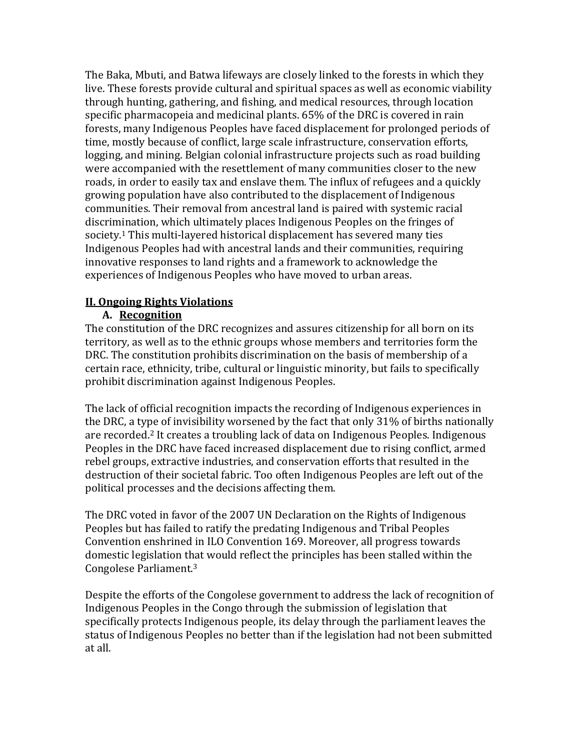The Baka, Mbuti, and Batwa lifeways are closely linked to the forests in which they live. These forests provide cultural and spiritual spaces as well as economic viability through hunting, gathering, and fishing, and medical resources, through location specific pharmacopeia and medicinal plants. 65% of the DRC is covered in rain forests, many Indigenous Peoples have faced displacement for prolonged periods of time, mostly because of conflict, large scale infrastructure, conservation efforts, logging, and mining. Belgian colonial infrastructure projects such as road building were accompanied with the resettlement of many communities closer to the new roads, in order to easily tax and enslave them. The influx of refugees and a quickly growing population have also contributed to the displacement of Indigenous communities. Their removal from ancestral land is paired with systemic racial discrimination, which ultimately places Indigenous Peoples on the fringes of society.<sup>1</sup> This multi-layered historical displacement has severed many ties Indigenous Peoples had with ancestral lands and their communities, requiring innovative responses to land rights and a framework to acknowledge the experiences of Indigenous Peoples who have moved to urban areas.

#### **II. Ongoing Rights Violations**

#### **A. Recognition**

The constitution of the DRC recognizes and assures citizenship for all born on its territory, as well as to the ethnic groups whose members and territories form the DRC. The constitution prohibits discrimination on the basis of membership of a certain race, ethnicity, tribe, cultural or linguistic minority, but fails to specifically prohibit discrimination against Indigenous Peoples.

The lack of official recognition impacts the recording of Indigenous experiences in the DRC, a type of invisibility worsened by the fact that only 31% of births nationally are recorded.<sup>2</sup> It creates a troubling lack of data on Indigenous Peoples. Indigenous Peoples in the DRC have faced increased displacement due to rising conflict, armed rebel groups, extractive industries, and conservation efforts that resulted in the destruction of their societal fabric. Too often Indigenous Peoples are left out of the political processes and the decisions affecting them.

The DRC voted in favor of the 2007 UN Declaration on the Rights of Indigenous Peoples but has failed to ratify the predating Indigenous and Tribal Peoples Convention enshrined in ILO Convention 169. Moreover, all progress towards domestic legislation that would reflect the principles has been stalled within the Congolese Parliament.<sup>3</sup>

Despite the efforts of the Congolese government to address the lack of recognition of Indigenous Peoples in the Congo through the submission of legislation that specifically protects Indigenous people, its delay through the parliament leaves the status of Indigenous Peoples no better than if the legislation had not been submitted at all.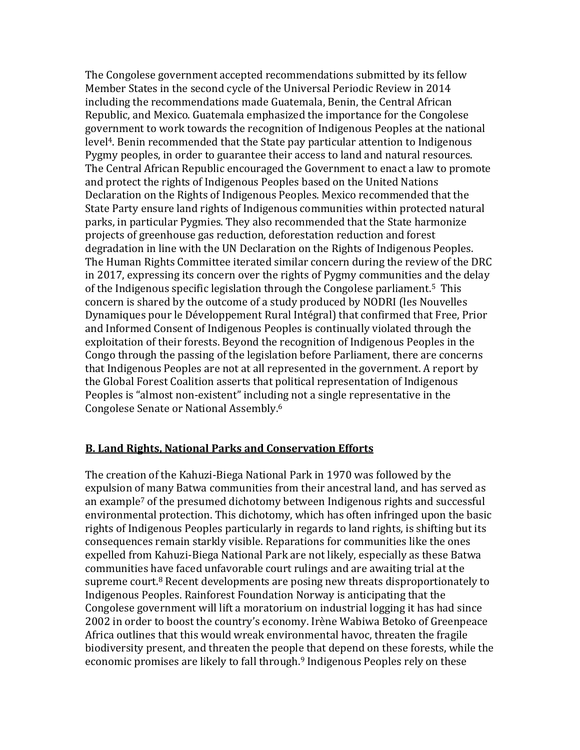The Congolese government accepted recommendations submitted by its fellow Member States in the second cycle of the Universal Periodic Review in 2014 including the recommendations made Guatemala, Benin, the Central African Republic, and Mexico. Guatemala emphasized the importance for the Congolese government to work towards the recognition of Indigenous Peoples at the national level<sup>4</sup>. Benin recommended that the State pay particular attention to Indigenous Pygmy peoples, in order to guarantee their access to land and natural resources. The Central African Republic encouraged the Government to enact a law to promote and protect the rights of Indigenous Peoples based on the United Nations Declaration on the Rights of Indigenous Peoples. Mexico recommended that the State Party ensure land rights of Indigenous communities within protected natural parks, in particular Pygmies. They also recommended that the State harmonize projects of greenhouse gas reduction, deforestation reduction and forest degradation in line with the UN Declaration on the Rights of Indigenous Peoples. The Human Rights Committee iterated similar concern during the review of the DRC in 2017, expressing its concern over the rights of Pygmy communities and the delay of the Indigenous specific legislation through the Congolese parliament.5 This concern is shared by the outcome of a study produced by NODRI (les Nouvelles Dynamiques pour le Développement Rural Intégral) that confirmed that Free, Prior and Informed Consent of Indigenous Peoples is continually violated through the exploitation of their forests. Beyond the recognition of Indigenous Peoples in the Congo through the passing of the legislation before Parliament, there are concerns that Indigenous Peoples are not at all represented in the government. A report by the Global Forest Coalition asserts that political representation of Indigenous Peoples is "almost non-existent" including not a single representative in the Congolese Senate or National Assembly.<sup>6</sup>

#### **B. Land Rights, National Parks and Conservation Efforts**

The creation of the Kahuzi-Biega National Park in 1970 was followed by the expulsion of many Batwa communities from their ancestral land, and has served as an example<sup>7</sup> of the presumed dichotomy between Indigenous rights and successful environmental protection. This dichotomy, which has often infringed upon the basic rights of Indigenous Peoples particularly in regards to land rights, is shifting but its consequences remain starkly visible. Reparations for communities like the ones expelled from Kahuzi-Biega National Park are not likely, especially as these Batwa communities have faced unfavorable court rulings and are awaiting trial at the supreme court.<sup>8</sup> Recent developments are posing new threats disproportionately to Indigenous Peoples. Rainforest Foundation Norway is anticipating that the Congolese government will lift a moratorium on industrial logging it has had since 2002 in order to boost the country's economy. Irène Wabiwa Betoko of Greenpeace Africa outlines that this would wreak environmental havoc, threaten the fragile biodiversity present, and threaten the people that depend on these forests, while the economic promises are likely to fall through.<sup>9</sup> Indigenous Peoples rely on these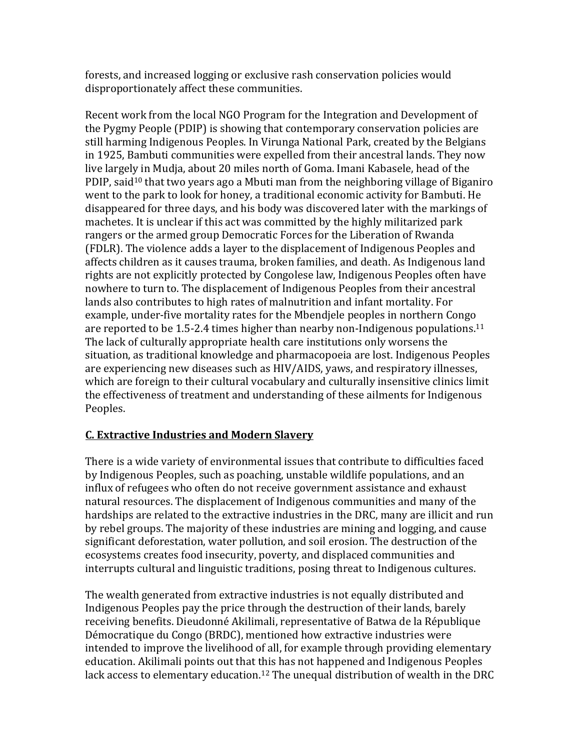forests, and increased logging or exclusive rash conservation policies would disproportionately affect these communities.

Recent work from the local NGO Program for the Integration and Development of the Pygmy People (PDIP) is showing that contemporary conservation policies are still harming Indigenous Peoples. In Virunga National Park, created by the Belgians in 1925, Bambuti communities were expelled from their ancestral lands. They now live largely in Mudja, about 20 miles north of Goma. Imani Kabasele, head of the PDIP, said<sup>10</sup> that two years ago a Mbuti man from the neighboring village of Biganiro went to the park to look for honey, a traditional economic activity for Bambuti. He disappeared for three days, and his body was discovered later with the markings of machetes. It is unclear if this act was committed by the highly militarized park rangers or the armed group Democratic Forces for the Liberation of Rwanda (FDLR). The violence adds a layer to the displacement of Indigenous Peoples and affects children as it causes trauma, broken families, and death. As Indigenous land rights are not explicitly protected by Congolese law, Indigenous Peoples often have nowhere to turn to. The displacement of Indigenous Peoples from their ancestral lands also contributes to high rates of malnutrition and infant mortality. For example, under-five mortality rates for the Mbendjele peoples in northern Congo are reported to be 1.5-2.4 times higher than nearby non-Indigenous populations.<sup>11</sup> The lack of culturally appropriate health care institutions only worsens the situation, as traditional knowledge and pharmacopoeia are lost. Indigenous Peoples are experiencing new diseases such as HIV/AIDS, yaws, and respiratory illnesses, which are foreign to their cultural vocabulary and culturally insensitive clinics limit the effectiveness of treatment and understanding of these ailments for Indigenous Peoples.

#### **C. Extractive Industries and Modern Slavery**

There is a wide variety of environmental issues that contribute to difficulties faced by Indigenous Peoples, such as poaching, unstable wildlife populations, and an influx of refugees who often do not receive government assistance and exhaust natural resources. The displacement of Indigenous communities and many of the hardships are related to the extractive industries in the DRC, many are illicit and run by rebel groups. The majority of these industries are mining and logging, and cause significant deforestation, water pollution, and soil erosion. The destruction of the ecosystems creates food insecurity, poverty, and displaced communities and interrupts cultural and linguistic traditions, posing threat to Indigenous cultures.

The wealth generated from extractive industries is not equally distributed and Indigenous Peoples pay the price through the destruction of their lands, barely receiving benefits. Dieudonné Akilimali, representative of Batwa de la République Démocratique du Congo (BRDC), mentioned how extractive industries were intended to improve the livelihood of all, for example through providing elementary education. Akilimali points out that this has not happened and Indigenous Peoples lack access to elementary education.<sup>12</sup> The unequal distribution of wealth in the DRC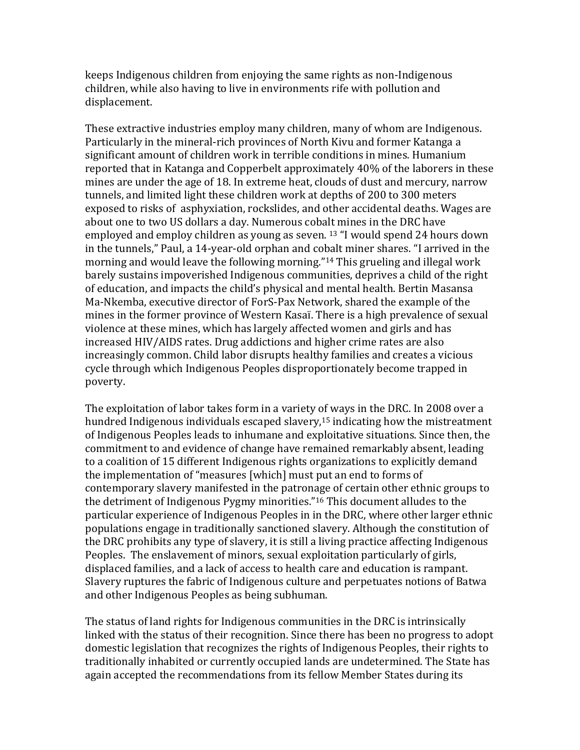keeps Indigenous children from enjoying the same rights as non-Indigenous children, while also having to live in environments rife with pollution and displacement.

These extractive industries employ many children, many of whom are Indigenous. Particularly in the mineral-rich provinces of North Kivu and former Katanga a significant amount of children work in terrible conditions in mines. Humanium reported that in Katanga and Copperbelt approximately 40% of the laborers in these mines are under the age of 18. In extreme heat, clouds of dust and mercury, narrow tunnels, and limited light these children work at depths of 200 to 300 meters exposed to risks of asphyxiation, rockslides, and other accidental deaths. Wages are about one to two US dollars a day. Numerous cobalt mines in the DRC have employed and employ children as young as seven. <sup>13</sup> "I would spend 24 hours down in the tunnels," Paul, a 14-year-old orphan and cobalt miner shares. "I arrived in the morning and would leave the following morning."<sup>14</sup> This grueling and illegal work barely sustains impoverished Indigenous communities, deprives a child of the right of education, and impacts the child's physical and mental health. Bertin Masansa Ma-Nkemba, executive director of ForS-Pax Network, shared the example of the mines in the former province of Western Kasaï. There is a high prevalence of sexual violence at these mines, which has largely affected women and girls and has increased HIV/AIDS rates. Drug addictions and higher crime rates are also increasingly common. Child labor disrupts healthy families and creates a vicious cycle through which Indigenous Peoples disproportionately become trapped in poverty.

The exploitation of labor takes form in a variety of ways in the DRC. In 2008 over a hundred Indigenous individuals escaped slavery, <sup>15</sup> indicating how the mistreatment of Indigenous Peoples leads to inhumane and exploitative situations. Since then, the commitment to and evidence of change have remained remarkably absent, leading to a coalition of 15 different Indigenous rights organizations to explicitly demand the implementation of "measures [which] must put an end to forms of contemporary slavery manifested in the patronage of certain other ethnic groups to the detriment of Indigenous Pygmy minorities."<sup>16</sup> This document alludes to the particular experience of Indigenous Peoples in in the DRC, where other larger ethnic populations engage in traditionally sanctioned slavery. Although the constitution of the DRC prohibits any type of slavery, it is still a living practice affecting Indigenous Peoples. The enslavement of minors, sexual exploitation particularly of girls, displaced families, and a lack of access to health care and education is rampant. Slavery ruptures the fabric of Indigenous culture and perpetuates notions of Batwa and other Indigenous Peoples as being subhuman.

The status of land rights for Indigenous communities in the DRC is intrinsically linked with the status of their recognition. Since there has been no progress to adopt domestic legislation that recognizes the rights of Indigenous Peoples, their rights to traditionally inhabited or currently occupied lands are undetermined. The State has again accepted the recommendations from its fellow Member States during its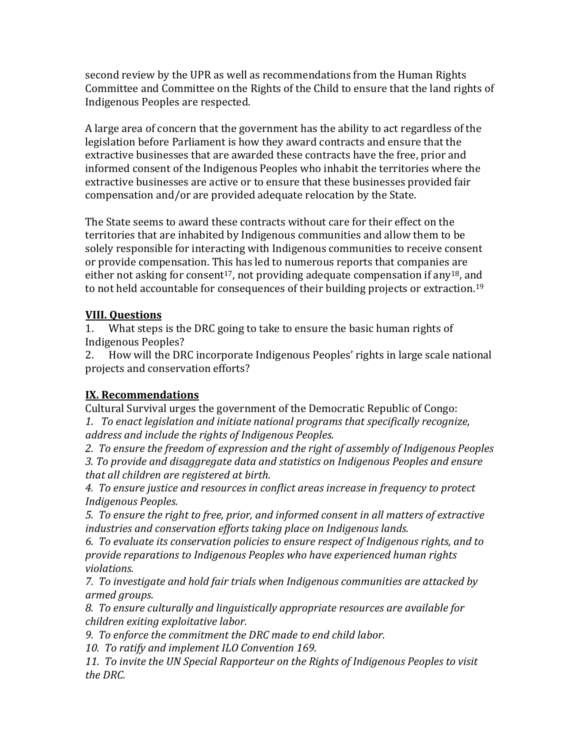second review by the UPR as well as recommendations from the Human Rights Committee and Committee on the Rights of the Child to ensure that the land rights of Indigenous Peoples are respected.

A large area of concern that the government has the ability to act regardless of the legislation before Parliament is how they award contracts and ensure that the extractive businesses that are awarded these contracts have the free, prior and informed consent of the Indigenous Peoples who inhabit the territories where the extractive businesses are active or to ensure that these businesses provided fair compensation and/or are provided adequate relocation by the State.

The State seems to award these contracts without care for their effect on the territories that are inhabited by Indigenous communities and allow them to be solely responsible for interacting with Indigenous communities to receive consent or provide compensation. This has led to numerous reports that companies are either not asking for consent<sup>17</sup>, not providing adequate compensation if any<sup>18</sup>, and to not held accountable for consequences of their building projects or extraction.<sup>19</sup>

### **VIII. Questions**

1. What steps is the DRC going to take to ensure the basic human rights of Indigenous Peoples?

2. How will the DRC incorporate Indigenous Peoples' rights in large scale national projects and conservation efforts?

## **IX. Recommendations**

Cultural Survival urges the government of the Democratic Republic of Congo: *1. To enact legislation and initiate national programs that specifically recognize, address and include the rights of Indigenous Peoples.*

*2. To ensure the freedom of expression and the right of assembly of Indigenous Peoples 3. To provide and disaggregate data and statistics on Indigenous Peoples and ensure that all children are registered at birth.*

*4. To ensure justice and resources in conflict areas increase in frequency to protect Indigenous Peoples.*

*5. To ensure the right to free, prior, and informed consent in all matters of extractive industries and conservation efforts taking place on Indigenous lands.*

*6. To evaluate its conservation policies to ensure respect of Indigenous rights, and to provide reparations to Indigenous Peoples who have experienced human rights violations.*

*7. To investigate and hold fair trials when Indigenous communities are attacked by armed groups.*

*8. To ensure culturally and linguistically appropriate resources are available for children exiting exploitative labor.*

*9. To enforce the commitment the DRC made to end child labor.*

*10. To ratify and implement ILO Convention 169.*

*11. To invite the UN Special Rapporteur on the Rights of Indigenous Peoples to visit the DRC.*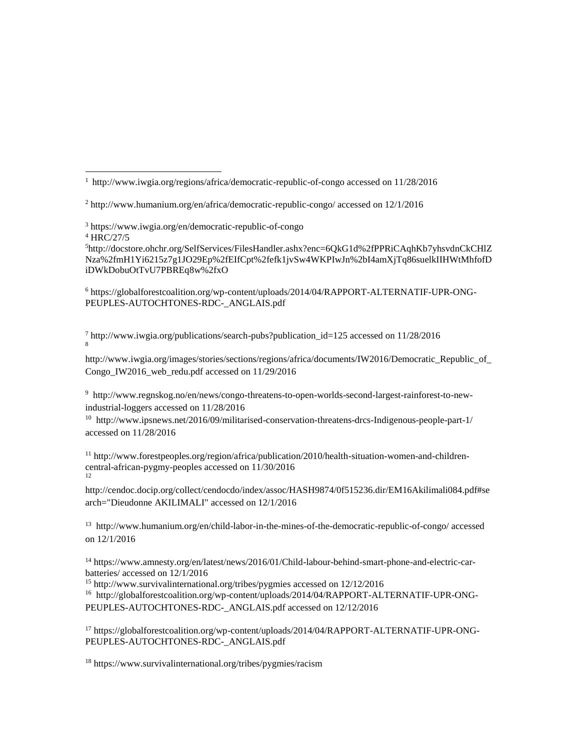$\overline{a}$ 

<sup>5</sup>[http://docstore.ohchr.org/SelfServices/FilesHandler.ashx?enc=6QkG1d%2fPPRiCAqhKb7yhsvdnCkCHlZ](http://docstore.ohchr.org/SelfServices/FilesHandler.ashx?enc=6QkG1d%2fPPRiCAqhKb7yhsvdnCkCHlZNza%2fmH1Yi6215z7g1JO29Ep%2fEIfCpt%2fefk1jvSw4WKPIwJn%2bI4amXjTq86suelkIIHWtMhfofDiDWkDobuOtTvU7PBREq8w%2fxO) [Nza%2fmH1Yi6215z7g1JO29Ep%2fEIfCpt%2fefk1jvSw4WKPIwJn%2bI4amXjTq86suelkIIHWtMhfofD](http://docstore.ohchr.org/SelfServices/FilesHandler.ashx?enc=6QkG1d%2fPPRiCAqhKb7yhsvdnCkCHlZNza%2fmH1Yi6215z7g1JO29Ep%2fEIfCpt%2fefk1jvSw4WKPIwJn%2bI4amXjTq86suelkIIHWtMhfofDiDWkDobuOtTvU7PBREq8w%2fxO) [iDWkDobuOtTvU7PBREq8w%2fxO](http://docstore.ohchr.org/SelfServices/FilesHandler.ashx?enc=6QkG1d%2fPPRiCAqhKb7yhsvdnCkCHlZNza%2fmH1Yi6215z7g1JO29Ep%2fEIfCpt%2fefk1jvSw4WKPIwJn%2bI4amXjTq86suelkIIHWtMhfofDiDWkDobuOtTvU7PBREq8w%2fxO)

<sup>6</sup> https://globalforestcoalition.org/wp-content/uploads/2014/04/RAPPORT-ALTERNATIF-UPR-ONG-PEUPLES-AUTOCHTONES-RDC-\_ANGLAIS.pdf

 $^7$  http://www.iwgia.org/publications/search-pubs?publication id=125 accessed on 11/28/2016 8

[http://www.iwgia.org/images/stories/sections/regions/africa/documents/IW2016/Democratic\\_Republic\\_of\\_](http://www.iwgia.org/images/stories/sections/regions/africa/documents/IW2016/Democratic_Republic_of_Congo_IW2016_web_redu.pdf) Congo IW2016 web redu.pdf accessed on 11/29/2016

<sup>9</sup> [http://www.regnskog.no/en/news/congo-threatens-to-open-worlds-second-largest-rainforest-to-new](http://www.regnskog.no/en/news/congo-threatens-to-open-worlds-second-largest-rainforest-to-new-industrial-loggers)[industrial-loggers](http://www.regnskog.no/en/news/congo-threatens-to-open-worlds-second-largest-rainforest-to-new-industrial-loggers) accessed on 11/28/2016

<sup>10</sup> [http://www.ipsnews.net/2016/09/militarised-conservation-threatens-drcs-Indigenous-people-part-1/](http://www.ipsnews.net/2016/09/militarised-conservation-threatens-drcs-indigenous-people-part-1/) accessed on 11/28/2016

<sup>11</sup> [http://www.forestpeoples.org/region/africa/publication/2010/health-situation-women-and-children](http://www.forestpeoples.org/region/africa/publication/2010/health-situation-women-and-children-central-african-pygmy-peoples)[central-african-pygmy-peoples](http://www.forestpeoples.org/region/africa/publication/2010/health-situation-women-and-children-central-african-pygmy-peoples) accessed on 11/30/2016 12

http://cendoc.docip.org/collect/cendocdo/index/assoc/HASH9874/0f515236.dir/EM16Akilimali084.pdf#se arch="Dieudonne AKILIMALI" accessed on 12/1/2016

<sup>13</sup> <http://www.humanium.org/en/child-labor-in-the-mines-of-the-democratic-republic-of-congo/> accessed on 12/1/2016

<sup>14</sup> [https://www.amnesty.org/en/latest/news/2016/01/Child-labour-behind-smart-phone-and-electric-car](https://www.amnesty.org/en/latest/news/2016/01/Child-labour-behind-smart-phone-and-electric-car-batteries/)[batteries/](https://www.amnesty.org/en/latest/news/2016/01/Child-labour-behind-smart-phone-and-electric-car-batteries/) accessed on 12/1/2016

<sup>15</sup> <http://www.survivalinternational.org/tribes/pygmies> accessed on 12/12/2016 <sup>16</sup> [http://globalforestcoalition.org/wp-content/uploads/2014/04/RAPPORT-ALTERNATIF-UPR-ONG-](http://globalforestcoalition.org/wp-content/uploads/2014/04/RAPPORT-ALTERNATIF-UPR-ONG-PEUPLES-AUTOCHTONES-RDC-_ANGLAIS.pdf)[PEUPLES-AUTOCHTONES-RDC-\\_ANGLAIS.pdf](http://globalforestcoalition.org/wp-content/uploads/2014/04/RAPPORT-ALTERNATIF-UPR-ONG-PEUPLES-AUTOCHTONES-RDC-_ANGLAIS.pdf) accessed on 12/12/2016

<sup>17</sup> [https://globalforestcoalition.org/wp-content/uploads/2014/04/RAPPORT-ALTERNATIF-UPR-ONG-](https://globalforestcoalition.org/wp-content/uploads/2014/04/RAPPORT-ALTERNATIF-UPR-ONG-PEUPLES-AUTOCHTONES-RDC-_ANGLAIS.pdf)[PEUPLES-AUTOCHTONES-RDC-\\_ANGLAIS.pdf](https://globalforestcoalition.org/wp-content/uploads/2014/04/RAPPORT-ALTERNATIF-UPR-ONG-PEUPLES-AUTOCHTONES-RDC-_ANGLAIS.pdf)

<sup>18</sup> <https://www.survivalinternational.org/tribes/pygmies/racism>

<sup>1</sup> http://www.iwgia.org/regions/africa/democratic-republic-of-congo accessed on 11/28/2016

 $2 \text{ http://www.humann.com/en/africa/democratic-republic-congo/ accessed on } 12/1/2016$ 

<sup>3</sup> https://www.iwgia.org/en/democratic-republic-of-congo

<sup>4</sup> [HRC/27/5](https://documents-dds-ny.un.org/doc/UNDOC/GEN/G14/075/47/PDF/G1407547.pdf?OpenElement)